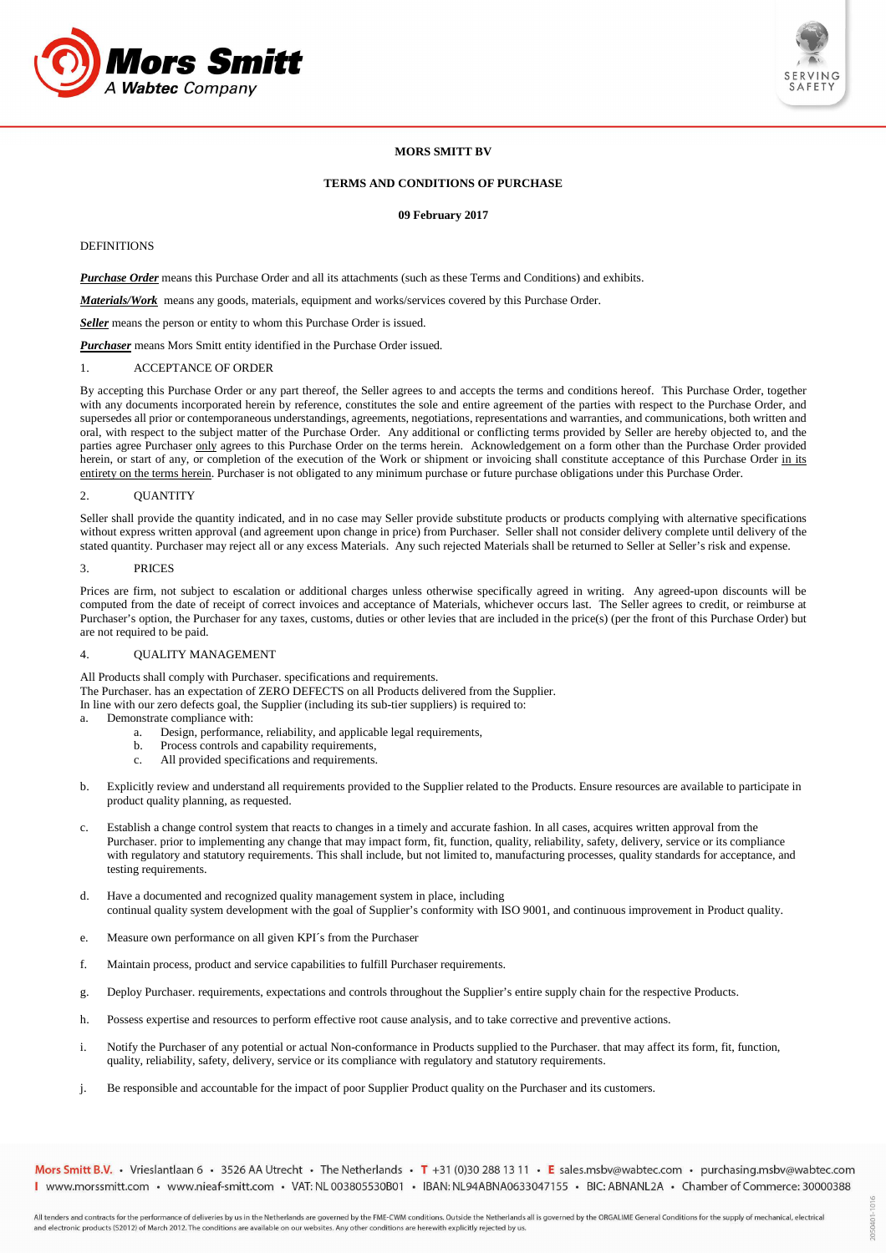



2050401-1016

# **MORS SMITT BV**

## **TERMS AND CONDITIONS OF PURCHASE**

### **09 February 2017**

## DEFINITIONS

*Purchase Order* means this Purchase Order and all its attachments (such as these Terms and Conditions) and exhibits.

*Materials/Work* means any goods, materials, equipment and works/services covered by this Purchase Order.

*Seller* means the person or entity to whom this Purchase Order is issued.

*Purchaser* means Mors Smitt entity identified in the Purchase Order issued.

## 1. ACCEPTANCE OF ORDER

By accepting this Purchase Order or any part thereof, the Seller agrees to and accepts the terms and conditions hereof. This Purchase Order, together with any documents incorporated herein by reference, constitutes the sole and entire agreement of the parties with respect to the Purchase Order, and supersedes all prior or contemporaneous understandings, agreements, negotiations, representations and warranties, and communications, both written and oral, with respect to the subject matter of the Purchase Order. Any additional or conflicting terms provided by Seller are hereby objected to, and the parties agree Purchaser only agrees to this Purchase Order on the terms herein. Acknowledgement on a form other than the Purchase Order provided herein, or start of any, or completion of the execution of the Work or shipment or invoicing shall constitute acceptance of this Purchase Order in its entirety on the terms herein. Purchaser is not obligated to any minimum purchase or future purchase obligations under this Purchase Order.

### 2. QUANTITY

Seller shall provide the quantity indicated, and in no case may Seller provide substitute products or products complying with alternative specifications without express written approval (and agreement upon change in price) from Purchaser. Seller shall not consider delivery complete until delivery of the stated quantity. Purchaser may reject all or any excess Materials. Any such rejected Materials shall be returned to Seller at Seller's risk and expense.

#### 3. PRICES

Prices are firm, not subject to escalation or additional charges unless otherwise specifically agreed in writing. Any agreed-upon discounts will be computed from the date of receipt of correct invoices and acceptance of Materials, whichever occurs last. The Seller agrees to credit, or reimburse at Purchaser's option, the Purchaser for any taxes, customs, duties or other levies that are included in the price(s) (per the front of this Purchase Order) but are not required to be paid.

### 4. QUALITY MANAGEMENT

All Products shall comply with Purchaser. specifications and requirements. The Purchaser. has an expectation of ZERO DEFECTS on all Products delivered from the Supplier. In line with our zero defects goal, the Supplier (including its sub-tier suppliers) is required to:

- a. Demonstrate compliance with:
	- a. Design, performance, reliability, and applicable legal requirements,
	- b. Process controls and capability requirements,
	- c. All provided specifications and requirements.
- b. Explicitly review and understand all requirements provided to the Supplier related to the Products. Ensure resources are available to participate in product quality planning, as requested.
- c. Establish a change control system that reacts to changes in a timely and accurate fashion. In all cases, acquires written approval from the Purchaser. prior to implementing any change that may impact form, fit, function, quality, reliability, safety, delivery, service or its compliance with regulatory and statutory requirements. This shall include, but not limited to, manufacturing processes, quality standards for acceptance, and testing requirements.
- d. Have a documented and recognized quality management system in place, including continual quality system development with the goal of Supplier's conformity with ISO 9001, and continuous improvement in Product quality.
- e. Measure own performance on all given KPI´s from the Purchaser
- f. Maintain process, product and service capabilities to fulfill Purchaser requirements.
- g. Deploy Purchaser. requirements, expectations and controls throughout the Supplier's entire supply chain for the respective Products.
- h. Possess expertise and resources to perform effective root cause analysis, and to take corrective and preventive actions.
- i. Notify the Purchaser of any potential or actual Non-conformance in Products supplied to the Purchaser. that may affect its form, fit, function, quality, reliability, safety, delivery, service or its compliance with regulatory and statutory requirements.
- j. Be responsible and accountable for the impact of poor Supplier Product quality on the Purchaser and its customers.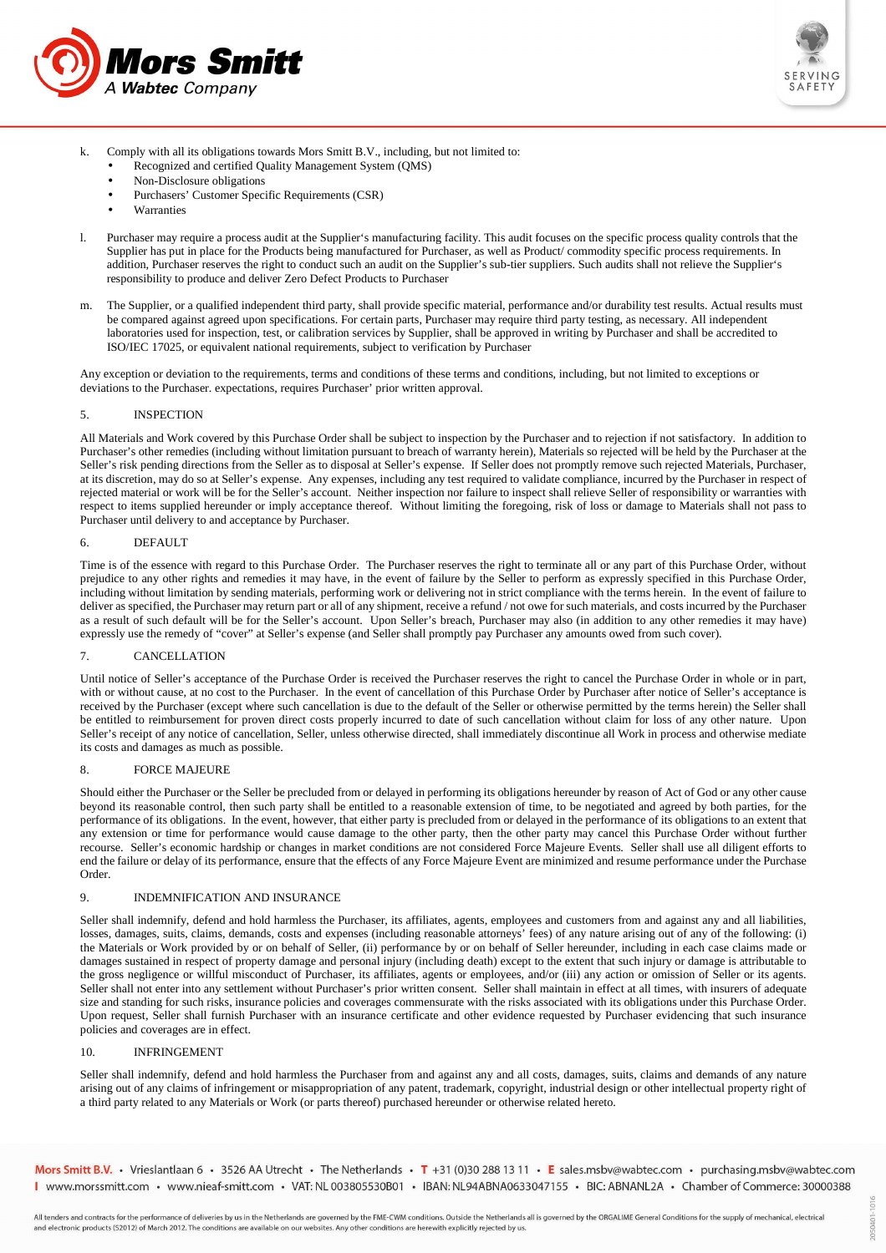



- k. Comply with all its obligations towards Mors Smitt B.V., including, but not limited to:
	- Recognized and certified Quality Management System (QMS)
	- Non-Disclosure obligations
	- Purchasers' Customer Specific Requirements (CSR)
	- **Warranties**
- l. Purchaser may require a process audit at the Supplier's manufacturing facility. This audit focuses on the specific process quality controls that the Supplier has put in place for the Products being manufactured for Purchaser, as well as Product/ commodity specific process requirements. In addition, Purchaser reserves the right to conduct such an audit on the Supplier's sub-tier suppliers. Such audits shall not relieve the Supplier's responsibility to produce and deliver Zero Defect Products to Purchaser
- m. The Supplier, or a qualified independent third party, shall provide specific material, performance and/or durability test results. Actual results must be compared against agreed upon specifications. For certain parts, Purchaser may require third party testing, as necessary. All independent laboratories used for inspection, test, or calibration services by Supplier, shall be approved in writing by Purchaser and shall be accredited to ISO/IEC 17025, or equivalent national requirements, subject to verification by Purchaser

Any exception or deviation to the requirements, terms and conditions of these terms and conditions, including, but not limited to exceptions or deviations to the Purchaser. expectations, requires Purchaser' prior written approval.

#### 5. INSPECTION

All Materials and Work covered by this Purchase Order shall be subject to inspection by the Purchaser and to rejection if not satisfactory. In addition to Purchaser's other remedies (including without limitation pursuant to breach of warranty herein), Materials so rejected will be held by the Purchaser at the Seller's risk pending directions from the Seller as to disposal at Seller's expense. If Seller does not promptly remove such rejected Materials, Purchaser, at its discretion, may do so at Seller's expense. Any expenses, including any test required to validate compliance, incurred by the Purchaser in respect of rejected material or work will be for the Seller's account. Neither inspection nor failure to inspect shall relieve Seller of responsibility or warranties with respect to items supplied hereunder or imply acceptance thereof. Without limiting the foregoing, risk of loss or damage to Materials shall not pass to Purchaser until delivery to and acceptance by Purchaser.

#### 6. DEFAULT

Time is of the essence with regard to this Purchase Order. The Purchaser reserves the right to terminate all or any part of this Purchase Order, without prejudice to any other rights and remedies it may have, in the event of failure by the Seller to perform as expressly specified in this Purchase Order, including without limitation by sending materials, performing work or delivering not in strict compliance with the terms herein. In the event of failure to deliver as specified, the Purchaser may return part or all of any shipment, receive a refund / not owe for such materials, and costs incurred by the Purchaser as a result of such default will be for the Seller's account. Upon Seller's breach, Purchaser may also (in addition to any other remedies it may have) expressly use the remedy of "cover" at Seller's expense (and Seller shall promptly pay Purchaser any amounts owed from such cover).

# 7. CANCELLATION

Until notice of Seller's acceptance of the Purchase Order is received the Purchaser reserves the right to cancel the Purchase Order in whole or in part, with or without cause, at no cost to the Purchaser. In the event of cancellation of this Purchase Order by Purchaser after notice of Seller's acceptance is received by the Purchaser (except where such cancellation is due to the default of the Seller or otherwise permitted by the terms herein) the Seller shall be entitled to reimbursement for proven direct costs properly incurred to date of such cancellation without claim for loss of any other nature. Upon Seller's receipt of any notice of cancellation, Seller, unless otherwise directed, shall immediately discontinue all Work in process and otherwise mediate its costs and damages as much as possible.

#### 8. FORCE MAJEURE

Should either the Purchaser or the Seller be precluded from or delayed in performing its obligations hereunder by reason of Act of God or any other cause beyond its reasonable control, then such party shall be entitled to a reasonable extension of time, to be negotiated and agreed by both parties, for the performance of its obligations. In the event, however, that either party is precluded from or delayed in the performance of its obligations to an extent that any extension or time for performance would cause damage to the other party, then the other party may cancel this Purchase Order without further recourse. Seller's economic hardship or changes in market conditions are not considered Force Majeure Events. Seller shall use all diligent efforts to end the failure or delay of its performance, ensure that the effects of any Force Majeure Event are minimized and resume performance under the Purchase Order.

#### 9. INDEMNIFICATION AND INSURANCE

Seller shall indemnify, defend and hold harmless the Purchaser, its affiliates, agents, employees and customers from and against any and all liabilities, losses, damages, suits, claims, demands, costs and expenses (including reasonable attorneys' fees) of any nature arising out of any of the following: (i) the Materials or Work provided by or on behalf of Seller, (ii) performance by or on behalf of Seller hereunder, including in each case claims made or damages sustained in respect of property damage and personal injury (including death) except to the extent that such injury or damage is attributable to the gross negligence or willful misconduct of Purchaser, its affiliates, agents or employees, and/or (iii) any action or omission of Seller or its agents. Seller shall not enter into any settlement without Purchaser's prior written consent. Seller shall maintain in effect at all times, with insurers of adequate size and standing for such risks, insurance policies and coverages commensurate with the risks associated with its obligations under this Purchase Order. Upon request, Seller shall furnish Purchaser with an insurance certificate and other evidence requested by Purchaser evidencing that such insurance policies and coverages are in effect.

#### 10. INFRINGEMENT

Seller shall indemnify, defend and hold harmless the Purchaser from and against any and all costs, damages, suits, claims and demands of any nature arising out of any claims of infringement or misappropriation of any patent, trademark, copyright, industrial design or other intellectual property right of a third party related to any Materials or Work (or parts thereof) purchased hereunder or otherwise related hereto.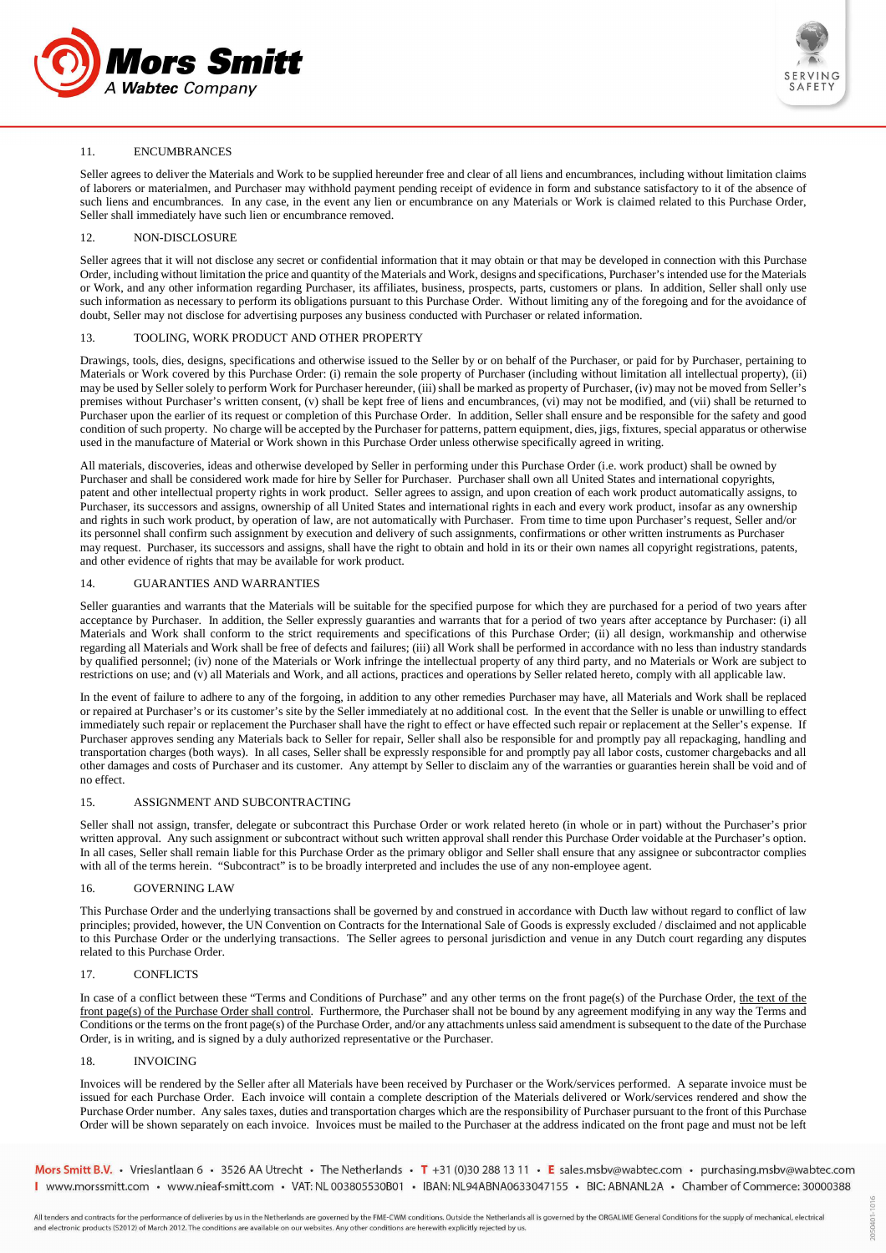



# 11. ENCUMBRANCES

Seller agrees to deliver the Materials and Work to be supplied hereunder free and clear of all liens and encumbrances, including without limitation claims of laborers or materialmen, and Purchaser may withhold payment pending receipt of evidence in form and substance satisfactory to it of the absence of such liens and encumbrances. In any case, in the event any lien or encumbrance on any Materials or Work is claimed related to this Purchase Order, Seller shall immediately have such lien or encumbrance removed.

# 12. NON-DISCLOSURE

Seller agrees that it will not disclose any secret or confidential information that it may obtain or that may be developed in connection with this Purchase Order, including without limitation the price and quantity of the Materials and Work, designs and specifications, Purchaser's intended use for the Materials or Work, and any other information regarding Purchaser, its affiliates, business, prospects, parts, customers or plans. In addition, Seller shall only use such information as necessary to perform its obligations pursuant to this Purchase Order. Without limiting any of the foregoing and for the avoidance of doubt, Seller may not disclose for advertising purposes any business conducted with Purchaser or related information.

# 13. TOOLING, WORK PRODUCT AND OTHER PROPERTY

Drawings, tools, dies, designs, specifications and otherwise issued to the Seller by or on behalf of the Purchaser, or paid for by Purchaser, pertaining to Materials or Work covered by this Purchase Order: (i) remain the sole property of Purchaser (including without limitation all intellectual property), (ii) may be used by Seller solely to perform Work for Purchaser hereunder, (iii) shall be marked as property of Purchaser, (iv) may not be moved from Seller's premises without Purchaser's written consent, (v) shall be kept free of liens and encumbrances, (vi) may not be modified, and (vii) shall be returned to Purchaser upon the earlier of its request or completion of this Purchase Order. In addition, Seller shall ensure and be responsible for the safety and good condition of such property. No charge will be accepted by the Purchaser for patterns, pattern equipment, dies, jigs, fixtures, special apparatus or otherwise used in the manufacture of Material or Work shown in this Purchase Order unless otherwise specifically agreed in writing.

All materials, discoveries, ideas and otherwise developed by Seller in performing under this Purchase Order (i.e. work product) shall be owned by Purchaser and shall be considered work made for hire by Seller for Purchaser. Purchaser shall own all United States and international copyrights, patent and other intellectual property rights in work product. Seller agrees to assign, and upon creation of each work product automatically assigns, to Purchaser, its successors and assigns, ownership of all United States and international rights in each and every work product, insofar as any ownership and rights in such work product, by operation of law, are not automatically with Purchaser. From time to time upon Purchaser's request, Seller and/or its personnel shall confirm such assignment by execution and delivery of such assignments, confirmations or other written instruments as Purchaser may request. Purchaser, its successors and assigns, shall have the right to obtain and hold in its or their own names all copyright registrations, patents, and other evidence of rights that may be available for work product.

## 14. GUARANTIES AND WARRANTIES

Seller guaranties and warrants that the Materials will be suitable for the specified purpose for which they are purchased for a period of two years after acceptance by Purchaser. In addition, the Seller expressly guaranties and warrants that for a period of two years after acceptance by Purchaser: (i) all Materials and Work shall conform to the strict requirements and specifications of this Purchase Order; (ii) all design, workmanship and otherwise regarding all Materials and Work shall be free of defects and failures; (iii) all Work shall be performed in accordance with no less than industry standards by qualified personnel; (iv) none of the Materials or Work infringe the intellectual property of any third party, and no Materials or Work are subject to restrictions on use; and (v) all Materials and Work, and all actions, practices and operations by Seller related hereto, comply with all applicable law.

In the event of failure to adhere to any of the forgoing, in addition to any other remedies Purchaser may have, all Materials and Work shall be replaced or repaired at Purchaser's or its customer's site by the Seller immediately at no additional cost. In the event that the Seller is unable or unwilling to effect immediately such repair or replacement the Purchaser shall have the right to effect or have effected such repair or replacement at the Seller's expense. If Purchaser approves sending any Materials back to Seller for repair, Seller shall also be responsible for and promptly pay all repackaging, handling and transportation charges (both ways). In all cases, Seller shall be expressly responsible for and promptly pay all labor costs, customer chargebacks and all other damages and costs of Purchaser and its customer. Any attempt by Seller to disclaim any of the warranties or guaranties herein shall be void and of no effect.

## 15. ASSIGNMENT AND SUBCONTRACTING

Seller shall not assign, transfer, delegate or subcontract this Purchase Order or work related hereto (in whole or in part) without the Purchaser's prior written approval. Any such assignment or subcontract without such written approval shall render this Purchase Order voidable at the Purchaser's option. In all cases, Seller shall remain liable for this Purchase Order as the primary obligor and Seller shall ensure that any assignee or subcontractor complies with all of the terms herein. "Subcontract" is to be broadly interpreted and includes the use of any non-employee agent.

### 16. GOVERNING LAW

This Purchase Order and the underlying transactions shall be governed by and construed in accordance with Ducth law without regard to conflict of law principles; provided, however, the UN Convention on Contracts for the International Sale of Goods is expressly excluded / disclaimed and not applicable to this Purchase Order or the underlying transactions. The Seller agrees to personal jurisdiction and venue in any Dutch court regarding any disputes related to this Purchase Order.

# 17. CONFLICTS

In case of a conflict between these "Terms and Conditions of Purchase" and any other terms on the front page(s) of the Purchase Order, the text of the front page(s) of the Purchase Order shall control. Furthermore, the Purchaser shall not be bound by any agreement modifying in any way the Terms and Conditions or the terms on the front page(s) of the Purchase Order, and/or any attachments unless said amendment is subsequent to the date of the Purchase Order, is in writing, and is signed by a duly authorized representative or the Purchaser.

#### 18. INVOICING

Invoices will be rendered by the Seller after all Materials have been received by Purchaser or the Work/services performed. A separate invoice must be issued for each Purchase Order. Each invoice will contain a complete description of the Materials delivered or Work/services rendered and show the Purchase Order number. Any sales taxes, duties and transportation charges which are the responsibility of Purchaser pursuant to the front of this Purchase Order will be shown separately on each invoice. Invoices must be mailed to the Purchaser at the address indicated on the front page and must not be left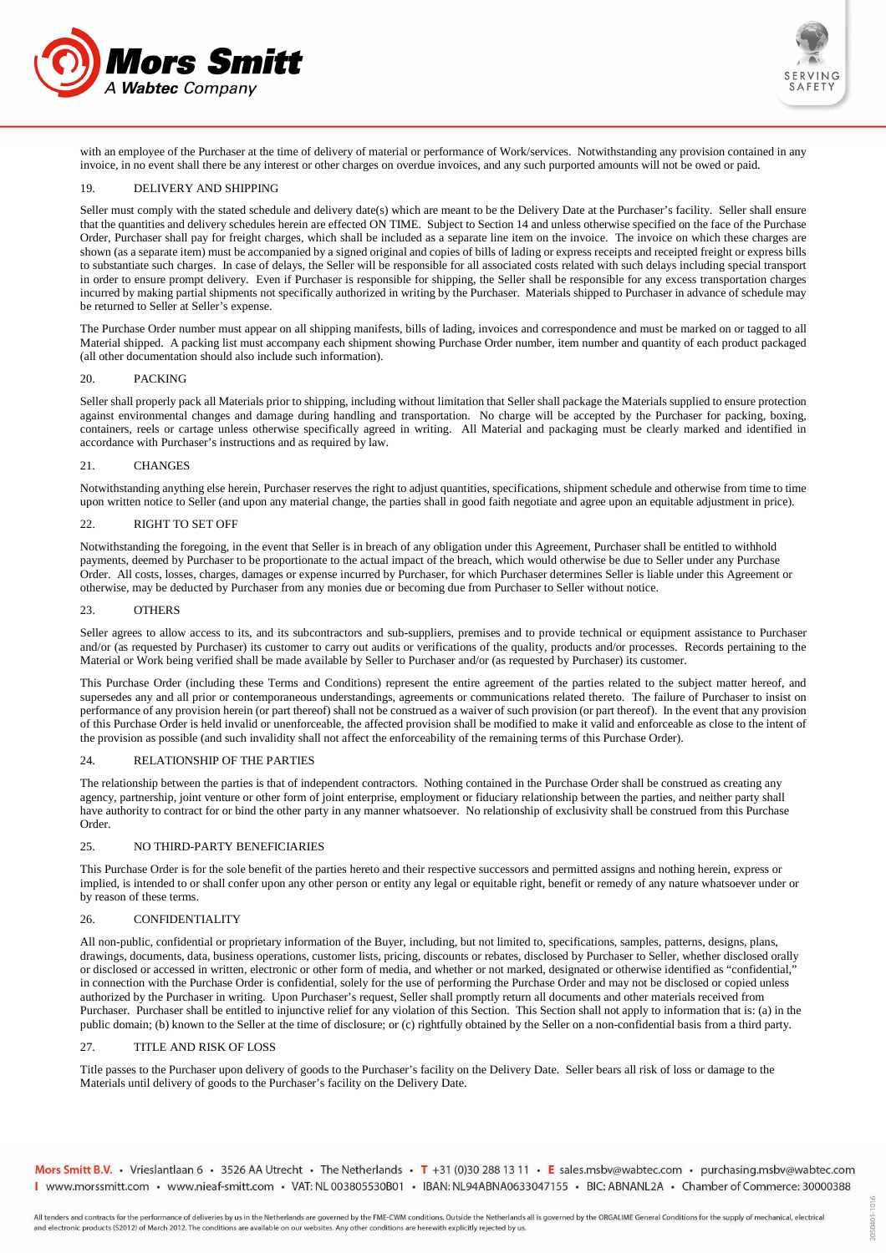



with an employee of the Purchaser at the time of delivery of material or performance of Work/services. Notwithstanding any provision contained in any invoice, in no event shall there be any interest or other charges on overdue invoices, and any such purported amounts will not be owed or paid.

# 19. DELIVERY AND SHIPPING

Seller must comply with the stated schedule and delivery date(s) which are meant to be the Delivery Date at the Purchaser's facility. Seller shall ensure that the quantities and delivery schedules herein are effected ON TIME. Subject to Section 14 and unless otherwise specified on the face of the Purchase Order, Purchaser shall pay for freight charges, which shall be included as a separate line item on the invoice. The invoice on which these charges are shown (as a separate item) must be accompanied by a signed original and copies of bills of lading or express receipts and receipted freight or express bills to substantiate such charges. In case of delays, the Seller will be responsible for all associated costs related with such delays including special transport in order to ensure prompt delivery. Even if Purchaser is responsible for shipping, the Seller shall be responsible for any excess transportation charges incurred by making partial shipments not specifically authorized in writing by the Purchaser. Materials shipped to Purchaser in advance of schedule may be returned to Seller at Seller's expense.

The Purchase Order number must appear on all shipping manifests, bills of lading, invoices and correspondence and must be marked on or tagged to all Material shipped. A packing list must accompany each shipment showing Purchase Order number, item number and quantity of each product packaged (all other documentation should also include such information).

#### 20. PACKING

Seller shall properly pack all Materials prior to shipping, including without limitation that Seller shall package the Materials supplied to ensure protection against environmental changes and damage during handling and transportation. No charge will be accepted by the Purchaser for packing, boxing, containers, reels or cartage unless otherwise specifically agreed in writing. All Material and packaging must be clearly marked and identified in accordance with Purchaser's instructions and as required by law.

#### 21. CHANGES

Notwithstanding anything else herein, Purchaser reserves the right to adjust quantities, specifications, shipment schedule and otherwise from time to time upon written notice to Seller (and upon any material change, the parties shall in good faith negotiate and agree upon an equitable adjustment in price).

### 22. RIGHT TO SET OFF

Notwithstanding the foregoing, in the event that Seller is in breach of any obligation under this Agreement, Purchaser shall be entitled to withhold payments, deemed by Purchaser to be proportionate to the actual impact of the breach, which would otherwise be due to Seller under any Purchase Order. All costs, losses, charges, damages or expense incurred by Purchaser, for which Purchaser determines Seller is liable under this Agreement or otherwise, may be deducted by Purchaser from any monies due or becoming due from Purchaser to Seller without notice.

## 23. OTHERS

Seller agrees to allow access to its, and its subcontractors and sub-suppliers, premises and to provide technical or equipment assistance to Purchaser and/or (as requested by Purchaser) its customer to carry out audits or verifications of the quality, products and/or processes. Records pertaining to the Material or Work being verified shall be made available by Seller to Purchaser and/or (as requested by Purchaser) its customer.

This Purchase Order (including these Terms and Conditions) represent the entire agreement of the parties related to the subject matter hereof, and supersedes any and all prior or contemporaneous understandings, agreements or communications related thereto. The failure of Purchaser to insist on performance of any provision herein (or part thereof) shall not be construed as a waiver of such provision (or part thereof). In the event that any provision of this Purchase Order is held invalid or unenforceable, the affected provision shall be modified to make it valid and enforceable as close to the intent of the provision as possible (and such invalidity shall not affect the enforceability of the remaining terms of this Purchase Order).

# 24. RELATIONSHIP OF THE PARTIES

The relationship between the parties is that of independent contractors. Nothing contained in the Purchase Order shall be construed as creating any agency, partnership, joint venture or other form of joint enterprise, employment or fiduciary relationship between the parties, and neither party shall have authority to contract for or bind the other party in any manner whatsoever. No relationship of exclusivity shall be construed from this Purchase Order.

## 25. NO THIRD-PARTY BENEFICIARIES

This Purchase Order is for the sole benefit of the parties hereto and their respective successors and permitted assigns and nothing herein, express or implied, is intended to or shall confer upon any other person or entity any legal or equitable right, benefit or remedy of any nature whatsoever under or by reason of these terms.

# 26. CONFIDENTIALITY

All non-public, confidential or proprietary information of the Buyer, including, but not limited to, specifications, samples, patterns, designs, plans, drawings, documents, data, business operations, customer lists, pricing, discounts or rebates, disclosed by Purchaser to Seller, whether disclosed orally or disclosed or accessed in written, electronic or other form of media, and whether or not marked, designated or otherwise identified as "confidential," in connection with the Purchase Order is confidential, solely for the use of performing the Purchase Order and may not be disclosed or copied unless authorized by the Purchaser in writing. Upon Purchaser's request, Seller shall promptly return all documents and other materials received from Purchaser. Purchaser shall be entitled to injunctive relief for any violation of this Section. This Section shall not apply to information that is: (a) in the public domain; (b) known to the Seller at the time of disclosure; or (c) rightfully obtained by the Seller on a non-confidential basis from a third party.

## 27. TITLE AND RISK OF LOSS

Title passes to the Purchaser upon delivery of goods to the Purchaser's facility on the Delivery Date. Seller bears all risk of loss or damage to the Materials until delivery of goods to the Purchaser's facility on the Delivery Date.